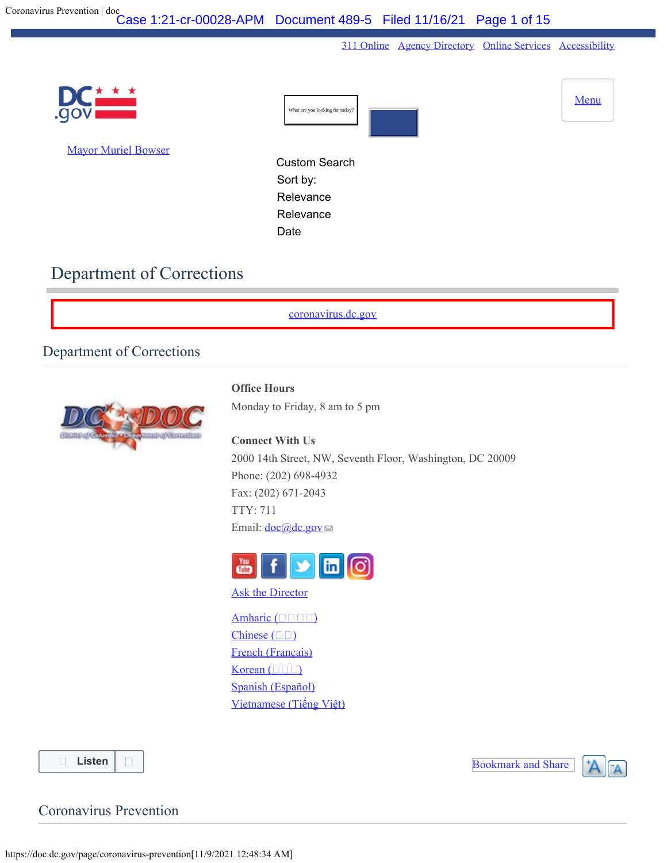[311 Online](https://311.dc.gov/citizen/home) [Agency Directory](https://dc.gov/directory) [Online Services](https://dc.gov/online-services) [Accessibility](https://dc.gov/page/dcgov-accessibility-policy)

<span id="page-0-0"></span>

# Department of Corrections

[coronavirus.dc.gov](http://coronavirus.dc.gov/)

## Department of Corrections



**Office Hours**

Monday to Friday, 8 am to 5 pm

**Connect With Us** 2000 14th Street, NW, Seventh Floor, Washington, DC 20009 Phone: (202) 698-4932 Fax: (202) 671-2043 TTY: 711 Email:  $\frac{\text{doc}(\textcircled{a})\text{dc.gov}}{$ 



**[Ask the Director](https://dcforms.dc.gov/webform/dc-department-correction-ask-director)** 

[Amharic \(](https://doc.dc.gov/page/amharic-%E1%8A%A0%E1%88%9B%E1%88%AD%E1%8A%9B-5) $\square$ Chinese  $(\Box \Box)$  $(\Box \Box)$ [French \(Français\)](https://doc.dc.gov/page/french-fran%C3%A7ais-5) Korean  $(\Box \Box \Box)$  $(\Box \Box \Box)$ [Spanish \(Español\)](https://doc.dc.gov/page/spanish-espa%C3%B1ol-2) [Vietnamese \(Ti](https://doc.dc.gov/page/vietnamese-ti%E1%BA%BFng-vi%E1%BB%87t-5)[ế](https://doc.dc.gov/page/vietnamese-ti%E1%BA%BFng-vi%E1%BB%87t-5)[ng Vi](https://doc.dc.gov/page/vietnamese-ti%E1%BA%BFng-vi%E1%BB%87t-5)[ệ](https://doc.dc.gov/page/vietnamese-ti%E1%BA%BFng-vi%E1%BB%87t-5)[t\)](https://doc.dc.gov/page/vietnamese-ti%E1%BA%BFng-vi%E1%BB%87t-5)

**[Listen](https://app-na.readspeaker.com/cgi-bin/rsent?customerid=6295&lang=en_us&readid=content-start&url=https://doc.dc.gov/page/coronavirus-prevention)**

Bookmark and Share



Coronavirus Prevention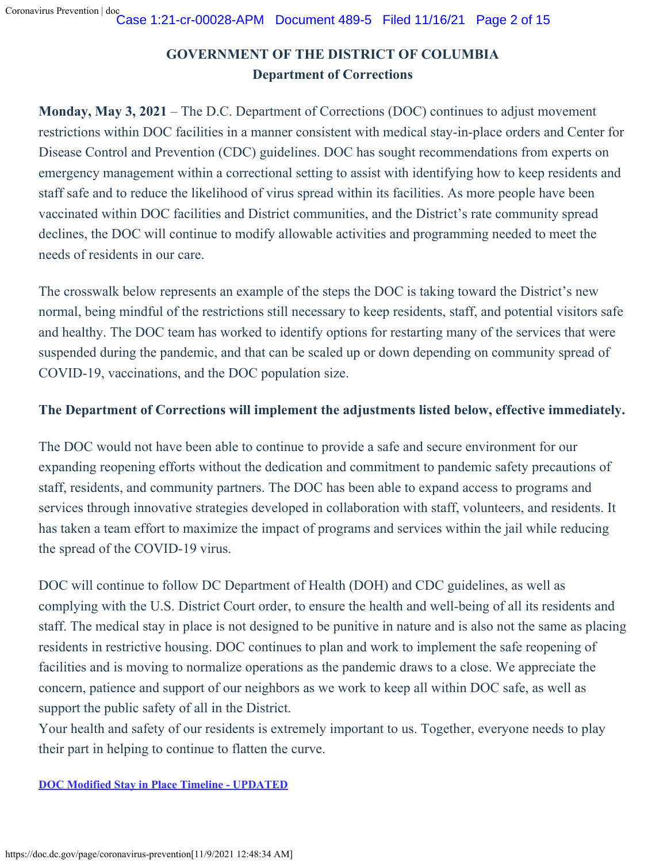# **GOVERNMENT OF THE DISTRICT OF COLUMBIA Department of Corrections**

**Monday, May 3, 2021** – The D.C. Department of Corrections (DOC) continues to adjust movement restrictions within DOC facilities in a manner consistent with medical stay-in-place orders and Center for Disease Control and Prevention (CDC) guidelines. DOC has sought recommendations from experts on emergency management within a correctional setting to assist with identifying how to keep residents and staff safe and to reduce the likelihood of virus spread within its facilities. As more people have been vaccinated within DOC facilities and District communities, and the District's rate community spread declines, the DOC will continue to modify allowable activities and programming needed to meet the needs of residents in our care.

The crosswalk below represents an example of the steps the DOC is taking toward the District's new normal, being mindful of the restrictions still necessary to keep residents, staff, and potential visitors safe and healthy. The DOC team has worked to identify options for restarting many of the services that were suspended during the pandemic, and that can be scaled up or down depending on community spread of COVID-19, vaccinations, and the DOC population size.

## **The Department of Corrections will implement the adjustments listed below, effective immediately.**

The DOC would not have been able to continue to provide a safe and secure environment for our expanding reopening efforts without the dedication and commitment to pandemic safety precautions of staff, residents, and community partners. The DOC has been able to expand access to programs and services through innovative strategies developed in collaboration with staff, volunteers, and residents. It has taken a team effort to maximize the impact of programs and services within the jail while reducing the spread of the COVID-19 virus.

DOC will continue to follow DC Department of Health (DOH) and CDC guidelines, as well as complying with the U.S. District Court order, to ensure the health and well-being of all its residents and staff. The medical stay in place is not designed to be punitive in nature and is also not the same as placing residents in restrictive housing. DOC continues to plan and work to implement the safe reopening of facilities and is moving to normalize operations as the pandemic draws to a close. We appreciate the concern, patience and support of our neighbors as we work to keep all within DOC safe, as well as support the public safety of all in the District.

Your health and safety of our residents is extremely important to us. Together, everyone needs to play their part in helping to continue to flatten the curve.

**[DOC Modified Stay in Place Timeline - UPDATED](https://doc.dc.gov/sites/default/files/dc/sites/doc/page_content/attachments/DOC%20Modified%20Medical%20Stay%20in%20Place%20Timeline.pdf)**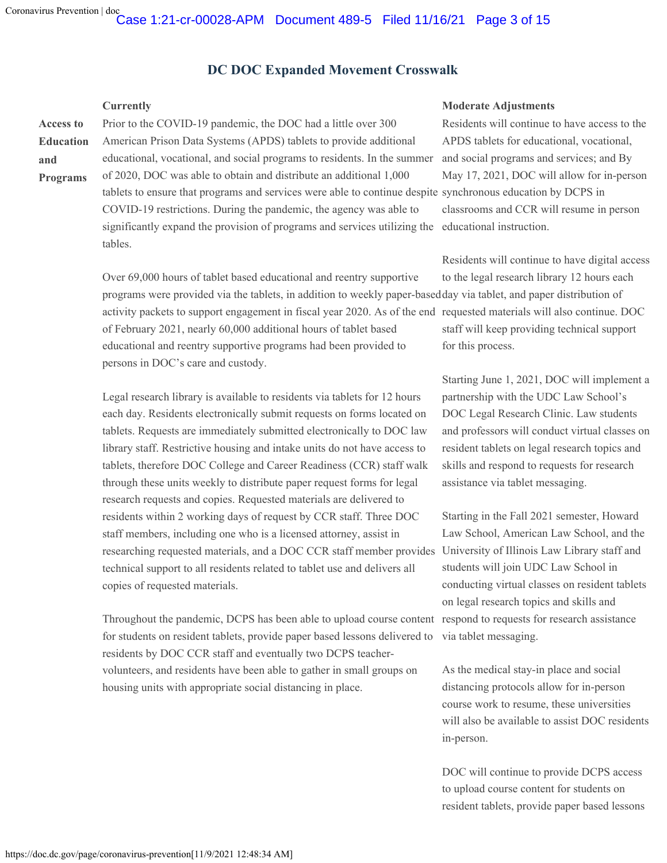**and**

### **DC DOC Expanded Movement Crosswalk**

**Access to Education Programs** Prior to the COVID-19 pandemic, the DOC had a little over 300 American Prison Data Systems (APDS) tablets to provide additional educational, vocational, and social programs to residents. In the summer of 2020, DOC was able to obtain and distribute an additional 1,000 tablets to ensure that programs and services were able to continue despite synchronous education by DCPS in COVID-19 restrictions. During the pandemic, the agency was able to significantly expand the provision of programs and services utilizing the educational instruction. tables.

> Over 69,000 hours of tablet based educational and reentry supportive programs were provided via the tablets, in addition to weekly paper-based day via tablet, and paper distribution of

of February 2021, nearly 60,000 additional hours of tablet based educational and reentry supportive programs had been provided to persons in DOC's care and custody.

Legal research library is available to residents via tablets for 12 hours each day. Residents electronically submit requests on forms located on tablets. Requests are immediately submitted electronically to DOC law library staff. Restrictive housing and intake units do not have access to tablets, therefore DOC College and Career Readiness (CCR) staff walk through these units weekly to distribute paper request forms for legal research requests and copies. Requested materials are delivered to residents within 2 working days of request by CCR staff. Three DOC staff members, including one who is a licensed attorney, assist in researching requested materials, and a DOC CCR staff member provides technical support to all residents related to tablet use and delivers all copies of requested materials.

Throughout the pandemic, DCPS has been able to upload course content respond to requests for research assistance for students on resident tablets, provide paper based lessons delivered to residents by DOC CCR staff and eventually two DCPS teachervolunteers, and residents have been able to gather in small groups on housing units with appropriate social distancing in place.

#### **Currently Moderate Adjustments**

Residents will continue to have access to the APDS tablets for educational, vocational, and social programs and services; and By May 17, 2021, DOC will allow for in-person classrooms and CCR will resume in person

activity packets to support engagement in fiscal year 2020. As of the end requested materials will also continue. DOC Residents will continue to have digital access to the legal research library 12 hours each staff will keep providing technical support for this process.

> Starting June 1, 2021, DOC will implement a partnership with the UDC Law School's DOC Legal Research Clinic. Law students and professors will conduct virtual classes on resident tablets on legal research topics and skills and respond to requests for research assistance via tablet messaging.

Starting in the Fall 2021 semester, Howard Law School, American Law School, and the University of Illinois Law Library staff and students will join UDC Law School in conducting virtual classes on resident tablets on legal research topics and skills and via tablet messaging.

As the medical stay-in place and social distancing protocols allow for in-person course work to resume, these universities will also be available to assist DOC residents in-person.

DOC will continue to provide DCPS access to upload course content for students on resident tablets, provide paper based lessons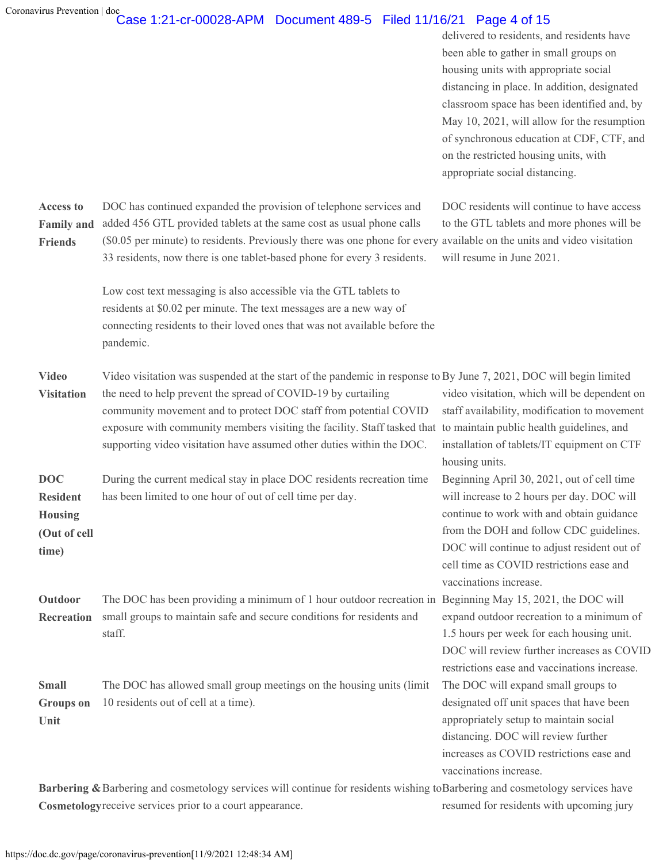#### Coronavirus Prevention | doc Case 1:21-cr-00028-APM Document 489-5 Filed 11/16/21 Page 4 of 15

delivered to residents, and residents have been able to gather in small groups on housing units with appropriate social distancing in place. In addition, designated classroom space has been identified and, by May 10, 2021, will allow for the resumption of synchronous education at CDF, CTF, and on the restricted housing units, with appropriate social distancing.

| <b>Access to</b><br><b>Family and</b><br><b>Friends</b>                  | DOC has continued expanded the provision of telephone services and<br>added 456 GTL provided tablets at the same cost as usual phone calls<br>(\$0.05 per minute) to residents. Previously there was one phone for every available on the units and video visitation<br>33 residents, now there is one tablet-based phone for every 3 residents.                                                                                                       | DOC residents will continue to have access<br>to the GTL tablets and more phones will be<br>will resume in June 2021.                                                                                                                                                                                 |
|--------------------------------------------------------------------------|--------------------------------------------------------------------------------------------------------------------------------------------------------------------------------------------------------------------------------------------------------------------------------------------------------------------------------------------------------------------------------------------------------------------------------------------------------|-------------------------------------------------------------------------------------------------------------------------------------------------------------------------------------------------------------------------------------------------------------------------------------------------------|
|                                                                          | Low cost text messaging is also accessible via the GTL tablets to<br>residents at \$0.02 per minute. The text messages are a new way of<br>connecting residents to their loved ones that was not available before the<br>pandemic.                                                                                                                                                                                                                     |                                                                                                                                                                                                                                                                                                       |
| <b>Video</b><br><b>Visitation</b>                                        | Video visitation was suspended at the start of the pandemic in response to By June 7, 2021, DOC will begin limited<br>the need to help prevent the spread of COVID-19 by curtailing<br>community movement and to protect DOC staff from potential COVID<br>exposure with community members visiting the facility. Staff tasked that to maintain public health guidelines, and<br>supporting video visitation have assumed other duties within the DOC. | video visitation, which will be dependent on<br>staff availability, modification to movement<br>installation of tablets/IT equipment on CTF<br>housing units.                                                                                                                                         |
| <b>DOC</b><br><b>Resident</b><br><b>Housing</b><br>(Out of cell<br>time) | During the current medical stay in place DOC residents recreation time<br>has been limited to one hour of out of cell time per day.                                                                                                                                                                                                                                                                                                                    | Beginning April 30, 2021, out of cell time<br>will increase to 2 hours per day. DOC will<br>continue to work with and obtain guidance<br>from the DOH and follow CDC guidelines.<br>DOC will continue to adjust resident out of<br>cell time as COVID restrictions ease and<br>vaccinations increase. |
| Outdoor<br>Recreation                                                    | The DOC has been providing a minimum of 1 hour outdoor recreation in Beginning May 15, 2021, the DOC will<br>small groups to maintain safe and secure conditions for residents and<br>staff.                                                                                                                                                                                                                                                           | expand outdoor recreation to a minimum of<br>1.5 hours per week for each housing unit.<br>DOC will review further increases as COVID<br>restrictions ease and vaccinations increase.                                                                                                                  |
| <b>Small</b><br><b>Groups</b> on<br>Unit                                 | The DOC has allowed small group meetings on the housing units (limit<br>10 residents out of cell at a time).                                                                                                                                                                                                                                                                                                                                           | The DOC will expand small groups to<br>designated off unit spaces that have been<br>appropriately setup to maintain social<br>distancing. DOC will review further<br>increases as COVID restrictions ease and<br>vaccinations increase.                                                               |

Barbering & Barbering and cosmetology services will continue for residents wishing to Barbering and cosmetology services have **Cosmetology** receive services prior to a court appearance. resumed for residents with upcoming jury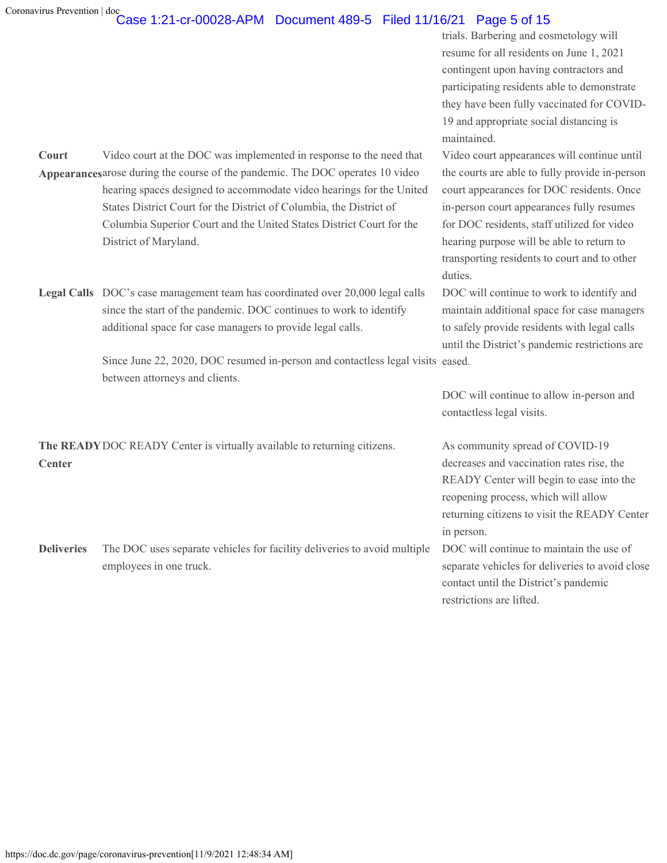#### Coronavirus Prevention | doc Case 1:21-cr-00028-APM Document 489-5 Filed 11/16/21 Page 5 of 15

trials. Barbering and cosmetology will resume for all residents on June 1, 2021 contingent upon having contractors and participating residents able to demonstrate they have been fully vaccinated for COVID-19 and appropriate social distancing is maintained.

Video court appearances will continue until the courts are able to fully provide in-person court appearances for DOC residents. Once in-person court appearances fully resumes for DOC residents, staff utilized for video hearing purpose will be able to return to transporting residents to court and to other duties.

DOC will continue to work to identify and maintain additional space for case managers to safely provide residents with legal calls until the District's pandemic restrictions are

DOC will continue to allow in-person and contactless legal visits.

decreases and vaccination rates rise, the READY Center will begin to ease into the reopening process, which will allow returning citizens to visit the READY Center in person.

DOC will continue to maintain the use of separate vehicles for deliveries to avoid close contact until the District's pandemic restrictions are lifted.

**Court** Appearances arose during the course of the pandemic. The DOC operates 10 video Video court at the DOC was implemented in response to the need that hearing spaces designed to accommodate video hearings for the United States District Court for the District of Columbia, the District of Columbia Superior Court and the United States District Court for the District of Maryland.

**Legal Calls** DOC's case management team has coordinated over 20,000 legal calls since the start of the pandemic. DOC continues to work to identify additional space for case managers to provide legal calls.

> Since June 22, 2020, DOC resumed in-person and contactless legal visits eased. between attorneys and clients.

**The READY** DOC READY Center is virtually available to returning citizens. As community spread of COVID-19 **Center**

**Deliveries** The DOC uses separate vehicles for facility deliveries to avoid multiple employees in one truck.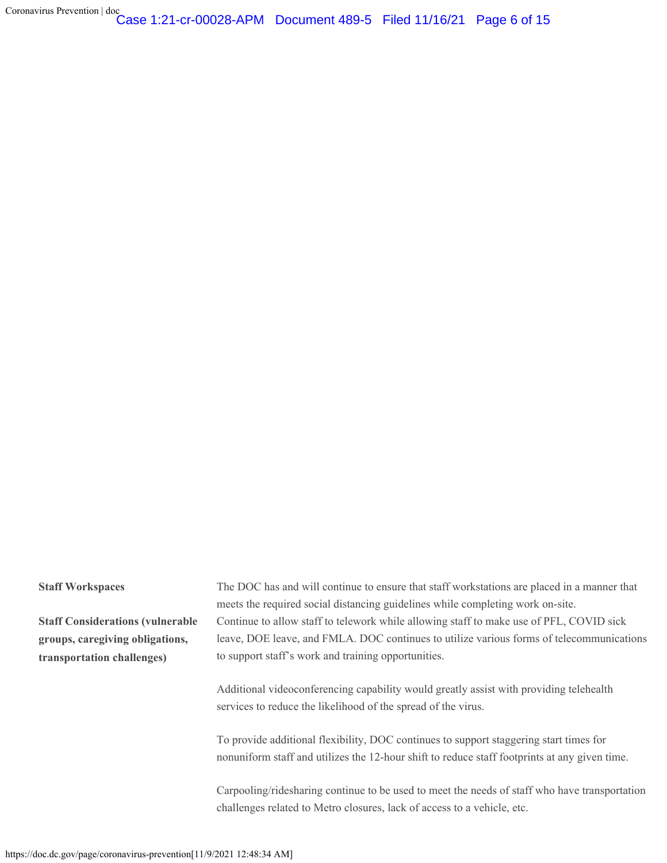Coronavirus Prevention | doc Case 1:21-cr-00028-APM Document 489-5 Filed 11/16/21 Page 6 of 15

**Staff Considerations (vulnerable groups, caregiving obligations, transportation challenges)**

**Staff Workspaces** The DOC has and will continue to ensure that staff workstations are placed in a manner that meets the required social distancing guidelines while completing work on-site. Continue to allow staff to telework while allowing staff to make use of PFL, COVID sick leave, DOE leave, and FMLA. DOC continues to utilize various forms of telecommunications to support staff's work and training opportunities.

> Additional videoconferencing capability would greatly assist with providing telehealth services to reduce the likelihood of the spread of the virus.

To provide additional flexibility, DOC continues to support staggering start times for nonuniform staff and utilizes the 12-hour shift to reduce staff footprints at any given time.

Carpooling/ridesharing continue to be used to meet the needs of staff who have transportation challenges related to Metro closures, lack of access to a vehicle, etc.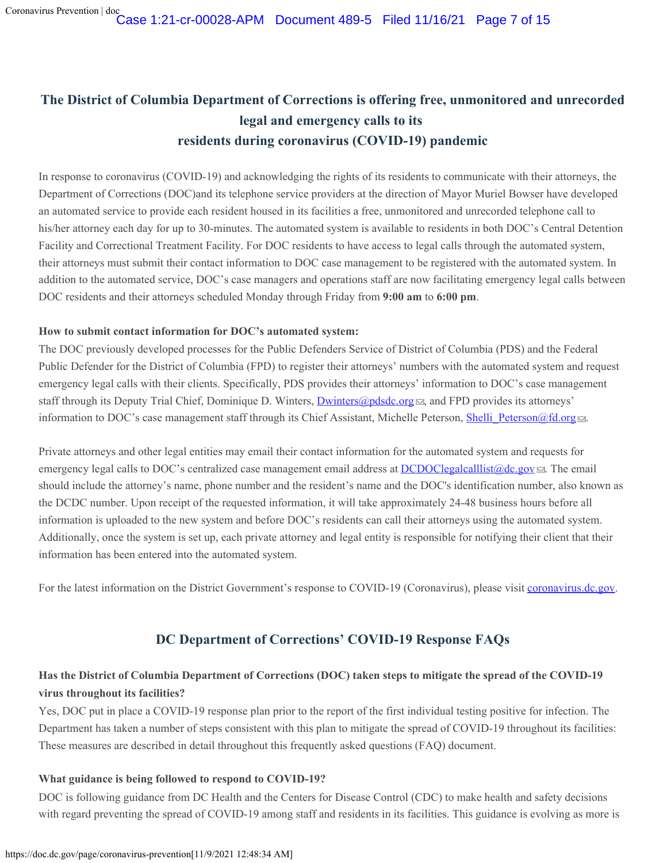# **The District of Columbia Department of Corrections is offering free, unmonitored and unrecorded legal and emergency calls to its residents during coronavirus (COVID-19) pandemic**

In response to coronavirus (COVID-19) and acknowledging the rights of its residents to communicate with their attorneys, the Department of Corrections (DOC)and its telephone service providers at the direction of Mayor Muriel Bowser have developed an automated service to provide each resident housed in its facilities a free, unmonitored and unrecorded telephone call to his/her attorney each day for up to 30-minutes. The automated system is available to residents in both DOC's Central Detention Facility and Correctional Treatment Facility. For DOC residents to have access to legal calls through the automated system, their attorneys must submit their contact information to DOC case management to be registered with the automated system. In addition to the automated service, DOC's case managers and operations staff are now facilitating emergency legal calls between DOC residents and their attorneys scheduled Monday through Friday from **9:00 am** to **6:00 pm**.

#### **How to submit contact information for DOC's automated system:**

The DOC previously developed processes for the Public Defenders Service of District of Columbia (PDS) and the Federal Public Defender for the District of Columbia (FPD) to register their attorneys' numbers with the automated system and request emergency legal calls with their clients. Specifically, PDS provides their attorneys' information to DOC's case management staff through its Deputy Trial Chief, Dominique D. Winters, [Dwinters@pdsdc.org](mailto:Dwinters@pdsdc.org) , and FPD provides its attorneys' information to DOC's case management staff through its Chief Assistant, Michelle Peterson, Shelli Peterson@fd.org ...

Private attorneys and other legal entities may email their contact information for the automated system and requests for emergency legal calls to DOC's centralized case management email address at [DCDOClegalcalllist@dc.gov](mailto:DCDOClegalcalllist@dc.gov) . The email should include the attorney's name, phone number and the resident's name and the DOC's identification number, also known as the DCDC number. Upon receipt of the requested information, it will take approximately 24-48 business hours before all information is uploaded to the new system and before DOC's residents can call their attorneys using the automated system. Additionally, once the system is set up, each private attorney and legal entity is responsible for notifying their client that their information has been entered into the automated system.

For the latest information on the District Government's response to COVID-19 (Coronavirus), please visit [coronavirus.dc.gov](https://coronavirus.dc.gov./).

## **DC Department of Corrections' COVID-19 Response FAQs**

## **Has the District of Columbia Department of Corrections (DOC) taken steps to mitigate the spread of the COVID-19 virus throughout its facilities?**

Yes, DOC put in place a COVID-19 response plan prior to the report of the first individual testing positive for infection. The Department has taken a number of steps consistent with this plan to mitigate the spread of COVID-19 throughout its facilities: These measures are described in detail throughout this frequently asked questions (FAQ) document.

### **What guidance is being followed to respond to COVID-19?**

DOC is following guidance from DC Health and the Centers for Disease Control (CDC) to make health and safety decisions with regard preventing the spread of COVID-19 among staff and residents in its facilities. This guidance is evolving as more is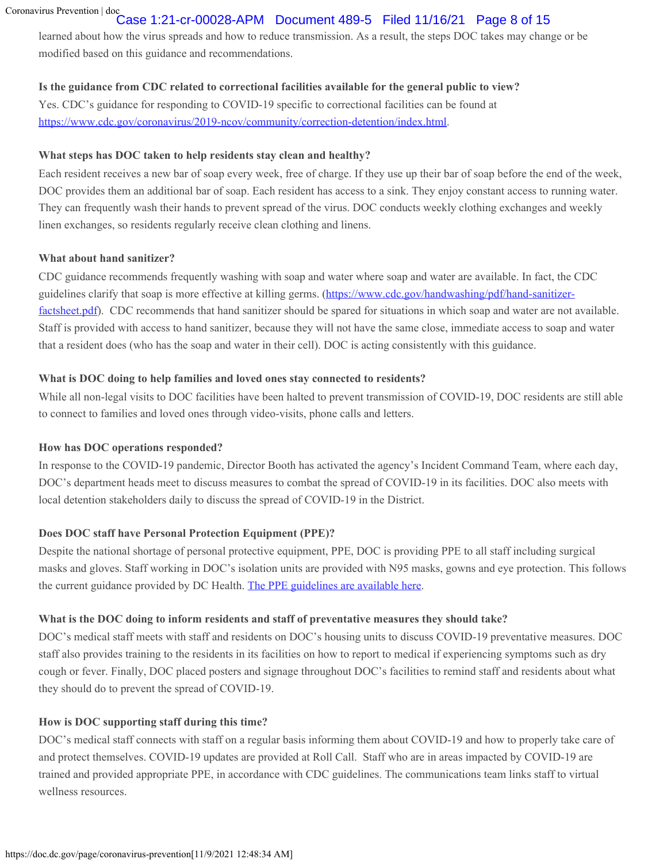## Case 1:21-cr-00028-APM Document 489-5 Filed 11/16/21 Page 8 of 15

learned about how the virus spreads and how to reduce transmission. As a result, the steps DOC takes may change or be modified based on this guidance and recommendations.

#### **Is the guidance from CDC related to correctional facilities available for the general public to view?**

Yes. CDC's guidance for responding to COVID-19 specific to correctional facilities can be found at <https://www.cdc.gov/coronavirus/2019-ncov/community/correction-detention/index.html>.

### **What steps has DOC taken to help residents stay clean and healthy?**

Each resident receives a new bar of soap every week, free of charge. If they use up their bar of soap before the end of the week, DOC provides them an additional bar of soap. Each resident has access to a sink. They enjoy constant access to running water. They can frequently wash their hands to prevent spread of the virus. DOC conducts weekly clothing exchanges and weekly linen exchanges, so residents regularly receive clean clothing and linens.

#### **What about hand sanitizer?**

CDC guidance recommends frequently washing with soap and water where soap and water are available. In fact, the CDC guidelines clarify that soap is more effective at killing germs. [\(https://www.cdc.gov/handwashing/pdf/hand-sanitizer](https://www.cdc.gov/handwashing/pdf/hand-sanitizer-factsheet.pdf)[factsheet.pdf](https://www.cdc.gov/handwashing/pdf/hand-sanitizer-factsheet.pdf)). CDC recommends that hand sanitizer should be spared for situations in which soap and water are not available. Staff is provided with access to hand sanitizer, because they will not have the same close, immediate access to soap and water that a resident does (who has the soap and water in their cell). DOC is acting consistently with this guidance.

### **What is DOC doing to help families and loved ones stay connected to residents?**

While all non-legal visits to DOC facilities have been halted to prevent transmission of COVID-19, DOC residents are still able to connect to families and loved ones through video-visits, phone calls and letters.

### **How has DOC operations responded?**

In response to the COVID-19 pandemic, Director Booth has activated the agency's Incident Command Team, where each day, DOC's department heads meet to discuss measures to combat the spread of COVID-19 in its facilities. DOC also meets with local detention stakeholders daily to discuss the spread of COVID-19 in the District.

### **Does DOC staff have Personal Protection Equipment (PPE)?**

Despite the national shortage of personal protective equipment, PPE, DOC is providing PPE to all staff including surgical masks and gloves. Staff working in DOC's isolation units are provided with N95 masks, gowns and eye protection. This follows the current guidance provided by DC Health. [The PPE guidelines are available here](https://doc.dc.gov/sites/default/files/dc/sites/doc/page_content/attachments/DOC-PPE-Infographic.pdf).

### **What is the DOC doing to inform residents and staff of preventative measures they should take?**

DOC's medical staff meets with staff and residents on DOC's housing units to discuss COVID-19 preventative measures. DOC staff also provides training to the residents in its facilities on how to report to medical if experiencing symptoms such as dry cough or fever. Finally, DOC placed posters and signage throughout DOC's facilities to remind staff and residents about what they should do to prevent the spread of COVID-19.

### **How is DOC supporting staff during this time?**

DOC's medical staff connects with staff on a regular basis informing them about COVID-19 and how to properly take care of and protect themselves. COVID-19 updates are provided at Roll Call. Staff who are in areas impacted by COVID-19 are trained and provided appropriate PPE, in accordance with CDC guidelines. The communications team links staff to virtual wellness resources.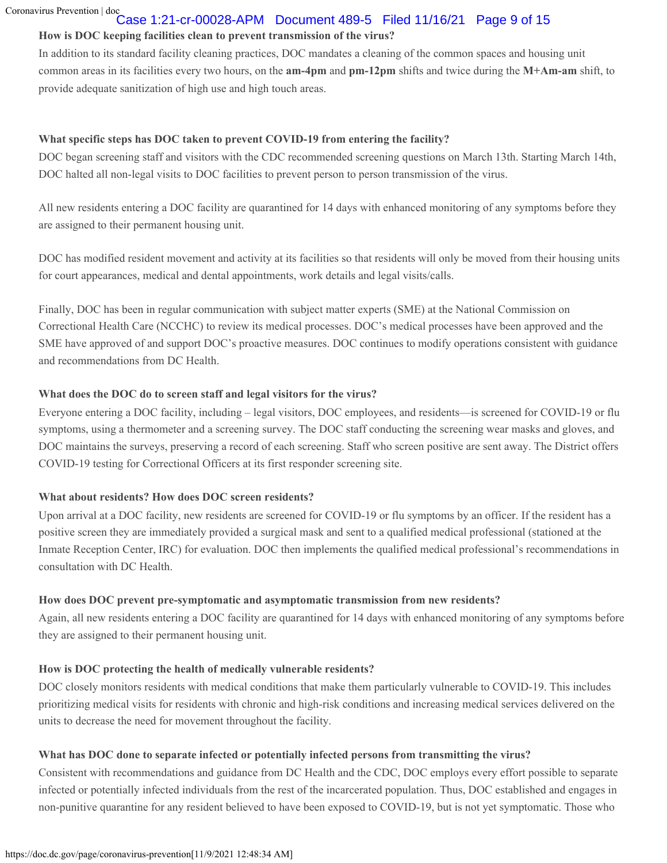## Case 1:21-cr-00028-APM Document 489-5 Filed 11/16/21 Page 9 of 15

## **How is DOC keeping facilities clean to prevent transmission of the virus?**

In addition to its standard facility cleaning practices, DOC mandates a cleaning of the common spaces and housing unit common areas in its facilities every two hours, on the **am-4pm** and **pm-12pm** shifts and twice during the **M+Am-am** shift, to provide adequate sanitization of high use and high touch areas.

## **What specific steps has DOC taken to prevent COVID-19 from entering the facility?**

DOC began screening staff and visitors with the CDC recommended screening questions on March 13th. Starting March 14th, DOC halted all non-legal visits to DOC facilities to prevent person to person transmission of the virus.

All new residents entering a DOC facility are quarantined for 14 days with enhanced monitoring of any symptoms before they are assigned to their permanent housing unit.

DOC has modified resident movement and activity at its facilities so that residents will only be moved from their housing units for court appearances, medical and dental appointments, work details and legal visits/calls.

Finally, DOC has been in regular communication with subject matter experts (SME) at the National Commission on Correctional Health Care (NCCHC) to review its medical processes. DOC's medical processes have been approved and the SME have approved of and support DOC's proactive measures. DOC continues to modify operations consistent with guidance and recommendations from DC Health.

## **What does the DOC do to screen staff and legal visitors for the virus?**

Everyone entering a DOC facility, including – legal visitors, DOC employees, and residents—is screened for COVID-19 or flu symptoms, using a thermometer and a screening survey. The DOC staff conducting the screening wear masks and gloves, and DOC maintains the surveys, preserving a record of each screening. Staff who screen positive are sent away. The District offers COVID-19 testing for Correctional Officers at its first responder screening site.

## **What about residents? How does DOC screen residents?**

Upon arrival at a DOC facility, new residents are screened for COVID-19 or flu symptoms by an officer. If the resident has a positive screen they are immediately provided a surgical mask and sent to a qualified medical professional (stationed at the Inmate Reception Center, IRC) for evaluation. DOC then implements the qualified medical professional's recommendations in consultation with DC Health.

## **How does DOC prevent pre-symptomatic and asymptomatic transmission from new residents?**

Again, all new residents entering a DOC facility are quarantined for 14 days with enhanced monitoring of any symptoms before they are assigned to their permanent housing unit.

## **How is DOC protecting the health of medically vulnerable residents?**

DOC closely monitors residents with medical conditions that make them particularly vulnerable to COVID-19. This includes prioritizing medical visits for residents with chronic and high-risk conditions and increasing medical services delivered on the units to decrease the need for movement throughout the facility.

## **What has DOC done to separate infected or potentially infected persons from transmitting the virus?**

Consistent with recommendations and guidance from DC Health and the CDC, DOC employs every effort possible to separate infected or potentially infected individuals from the rest of the incarcerated population. Thus, DOC established and engages in non-punitive quarantine for any resident believed to have been exposed to COVID-19, but is not yet symptomatic. Those who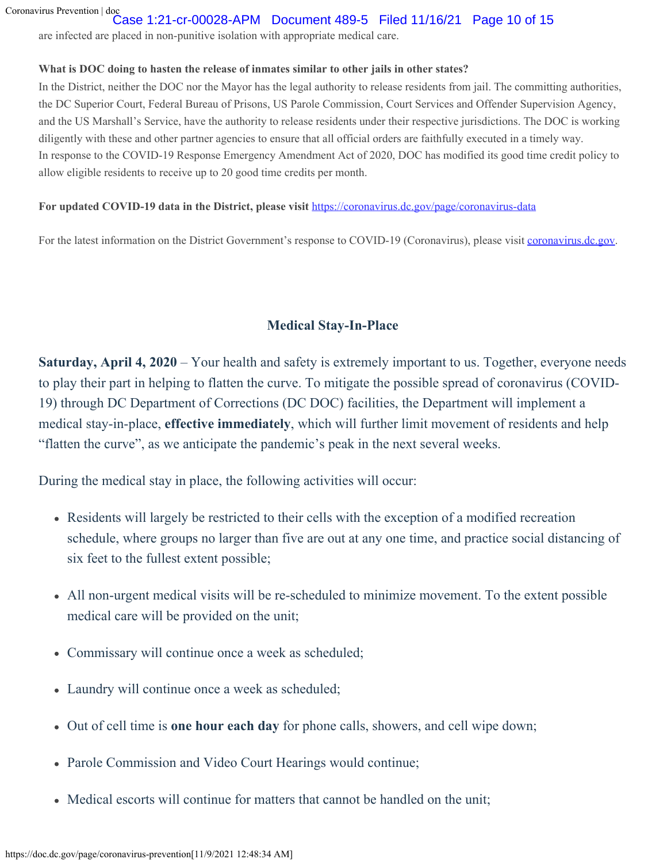## Case 1:21-cr-00028-APM Document 489-5 Filed 11/16/21 Page 10 of 15

are infected are placed in non-punitive isolation with appropriate medical care.

## **What is DOC doing to hasten the release of inmates similar to other jails in other states?**

In the District, neither the DOC nor the Mayor has the legal authority to release residents from jail. The committing authorities, the DC Superior Court, Federal Bureau of Prisons, US Parole Commission, Court Services and Offender Supervision Agency, and the US Marshall's Service, have the authority to release residents under their respective jurisdictions. The DOC is working diligently with these and other partner agencies to ensure that all official orders are faithfully executed in a timely way. In response to the COVID-19 Response Emergency Amendment Act of 2020, DOC has modified its good time credit policy to allow eligible residents to receive up to 20 good time credits per month.

## **For updated COVID-19 data in the District, please visit** <https://coronavirus.dc.gov/page/coronavirus-data>

For the latest information on the District Government's response to COVID-19 (Coronavirus), please visit [coronavirus.dc.gov](https://coronavirus.dc.gov./).

## **Medical Stay-In-Place**

**Saturday, April 4, 2020** – Your health and safety is extremely important to us. Together, everyone needs to play their part in helping to flatten the curve. To mitigate the possible spread of coronavirus (COVID-19) through DC Department of Corrections (DC DOC) facilities, the Department will implement a medical stay-in-place, **effective immediately**, which will further limit movement of residents and help "flatten the curve", as we anticipate the pandemic's peak in the next several weeks.

During the medical stay in place, the following activities will occur:

- Residents will largely be restricted to their cells with the exception of a modified recreation schedule, where groups no larger than five are out at any one time, and practice social distancing of six feet to the fullest extent possible;
- All non-urgent medical visits will be re-scheduled to minimize movement. To the extent possible medical care will be provided on the unit;
- Commissary will continue once a week as scheduled;
- Laundry will continue once a week as scheduled;
- Out of cell time is **one hour each day** for phone calls, showers, and cell wipe down;
- Parole Commission and Video Court Hearings would continue;
- Medical escorts will continue for matters that cannot be handled on the unit;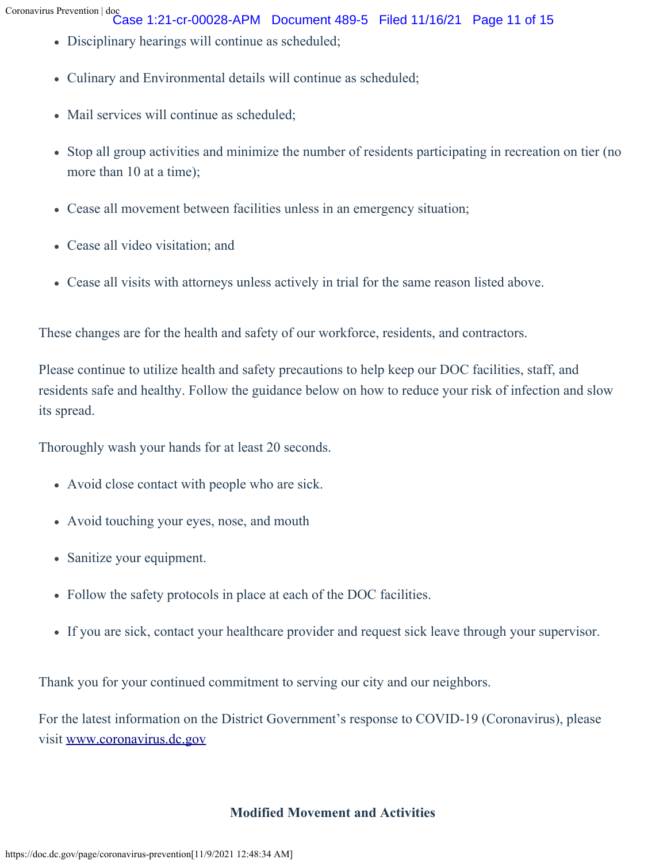Case 1:21-cr-00028-APM Document 489-5 Filed 11/16/21 Page 11 of 15

- Disciplinary hearings will continue as scheduled;
- Culinary and Environmental details will continue as scheduled;
- Mail services will continue as scheduled;
- Stop all group activities and minimize the number of residents participating in recreation on tier (no more than 10 at a time);
- Cease all movement between facilities unless in an emergency situation;
- Cease all video visitation; and
- Cease all visits with attorneys unless actively in trial for the same reason listed above.

These changes are for the health and safety of our workforce, residents, and contractors.

Please continue to utilize health and safety precautions to help keep our DOC facilities, staff, and residents safe and healthy. Follow the guidance below on how to reduce your risk of infection and slow its spread.

Thoroughly wash your hands for at least 20 seconds.

- Avoid close contact with people who are sick.
- Avoid touching your eyes, nose, and mouth
- Sanitize your equipment.
- Follow the safety protocols in place at each of the DOC facilities.
- If you are sick, contact your healthcare provider and request sick leave through your supervisor.

Thank you for your continued commitment to serving our city and our neighbors.

For the latest information on the District Government's response to COVID-19 (Coronavirus), please visit [www.coronavirus.dc.gov](https://coronavirus.dc.gov/)

## **Modified Movement and Activities**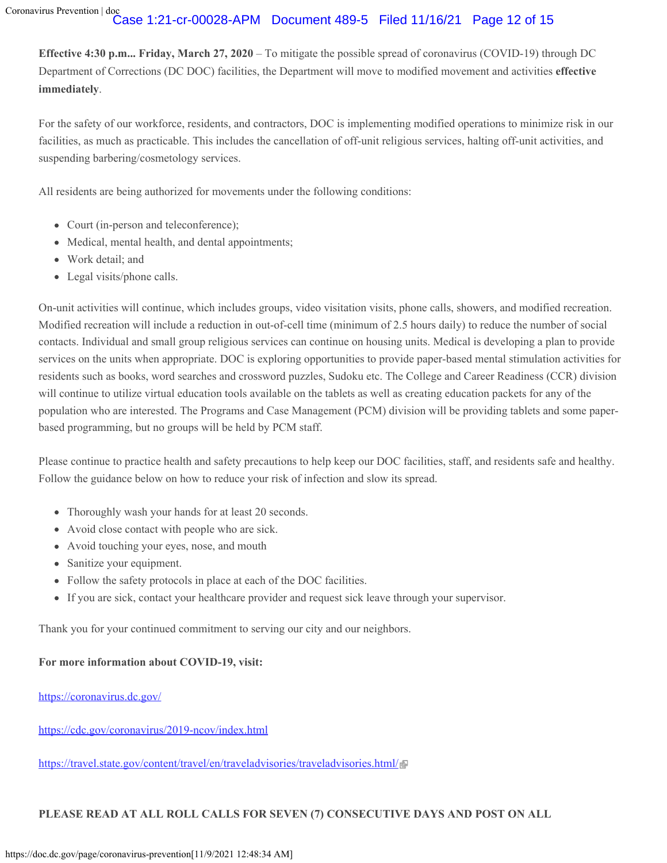## Case 1:21-cr-00028-APM Document 489-5 Filed 11/16/21 Page 12 of 15

**Effective 4:30 p.m... Friday, March 27, 2020** – To mitigate the possible spread of coronavirus (COVID-19) through DC Department of Corrections (DC DOC) facilities, the Department will move to modified movement and activities **effective immediately**.

For the safety of our workforce, residents, and contractors, DOC is implementing modified operations to minimize risk in our facilities, as much as practicable. This includes the cancellation of off-unit religious services, halting off-unit activities, and suspending barbering/cosmetology services.

All residents are being authorized for movements under the following conditions:

- Court (in-person and teleconference);
- Medical, mental health, and dental appointments;
- Work detail; and
- Legal visits/phone calls.

On-unit activities will continue, which includes groups, video visitation visits, phone calls, showers, and modified recreation. Modified recreation will include a reduction in out-of-cell time (minimum of 2.5 hours daily) to reduce the number of social contacts. Individual and small group religious services can continue on housing units. Medical is developing a plan to provide services on the units when appropriate. DOC is exploring opportunities to provide paper-based mental stimulation activities for residents such as books, word searches and crossword puzzles, Sudoku etc. The College and Career Readiness (CCR) division will continue to utilize virtual education tools available on the tablets as well as creating education packets for any of the population who are interested. The Programs and Case Management (PCM) division will be providing tablets and some paperbased programming, but no groups will be held by PCM staff.

Please continue to practice health and safety precautions to help keep our DOC facilities, staff, and residents safe and healthy. Follow the guidance below on how to reduce your risk of infection and slow its spread.

- Thoroughly wash your hands for at least 20 seconds.
- Avoid close contact with people who are sick.
- Avoid touching your eyes, nose, and mouth
- Sanitize your equipment.
- Follow the safety protocols in place at each of the DOC facilities.
- If you are sick, contact your healthcare provider and request sick leave through your supervisor.

Thank you for your continued commitment to serving our city and our neighbors.

### **For more information about COVID-19, visit:**

### <https://coronavirus.dc.gov/>

<https://cdc.gov/coronavirus/2019-ncov/index.html>

<https://travel.state.gov/content/travel/en/traveladvisories/traveladvisories.html/>

### **PLEASE READ AT ALL ROLL CALLS FOR SEVEN (7) CONSECUTIVE DAYS AND POST ON ALL**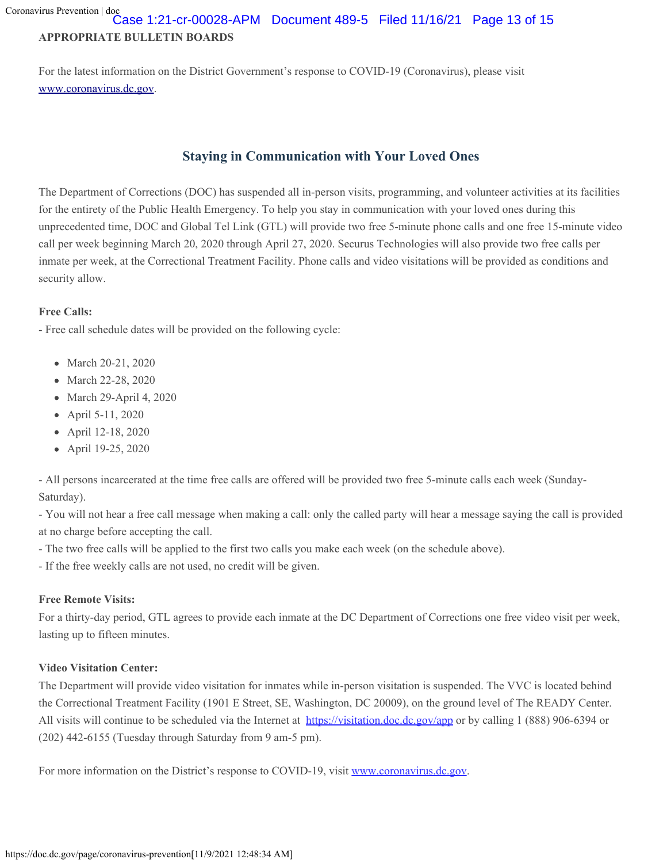## **APPROPRIATE BULLETIN BOARDS** Case 1:21-cr-00028-APM Document 489-5 Filed 11/16/21 Page 13 of 15

For the latest information on the District Government's response to COVID-19 (Coronavirus), please visit [www.coronavirus.dc.gov.](https://coronavirus.dc.gov/)

# **Staying in Communication with Your Loved Ones**

The Department of Corrections (DOC) has suspended all in-person visits, programming, and volunteer activities at its facilities for the entirety of the Public Health Emergency. To help you stay in communication with your loved ones during this unprecedented time, DOC and Global Tel Link (GTL) will provide two free 5-minute phone calls and one free 15-minute video call per week beginning March 20, 2020 through April 27, 2020. Securus Technologies will also provide two free calls per inmate per week, at the Correctional Treatment Facility. Phone calls and video visitations will be provided as conditions and security allow.

## **Free Calls:**

- Free call schedule dates will be provided on the following cycle:

- March 20-21, 2020
- March 22-28, 2020
- March 29-April 4, 2020
- April 5-11, 2020
- April 12-18, 2020
- April 19-25, 2020

- All persons incarcerated at the time free calls are offered will be provided two free 5-minute calls each week (Sunday-Saturday).

- You will not hear a free call message when making a call: only the called party will hear a message saying the call is provided at no charge before accepting the call.

- The two free calls will be applied to the first two calls you make each week (on the schedule above).

- If the free weekly calls are not used, no credit will be given.

## **Free Remote Visits:**

For a thirty-day period, GTL agrees to provide each inmate at the DC Department of Corrections one free video visit per week, lasting up to fifteen minutes.

### **Video Visitation Center:**

The Department will provide video visitation for inmates while in-person visitation is suspended. The VVC is located behind the Correctional Treatment Facility (1901 E Street, SE, Washington, DC 20009), on the ground level of The READY Center. All visits will continue to be scheduled via the Internet at <https://visitation.doc.dc.gov/app> or by calling 1 (888) 906-6394 or (202) 442-6155 (Tuesday through Saturday from 9 am-5 pm).

For more information on the District's response to COVID-19, visit [www.coronavirus.dc.gov.](https://coronavirus.dc.gov/)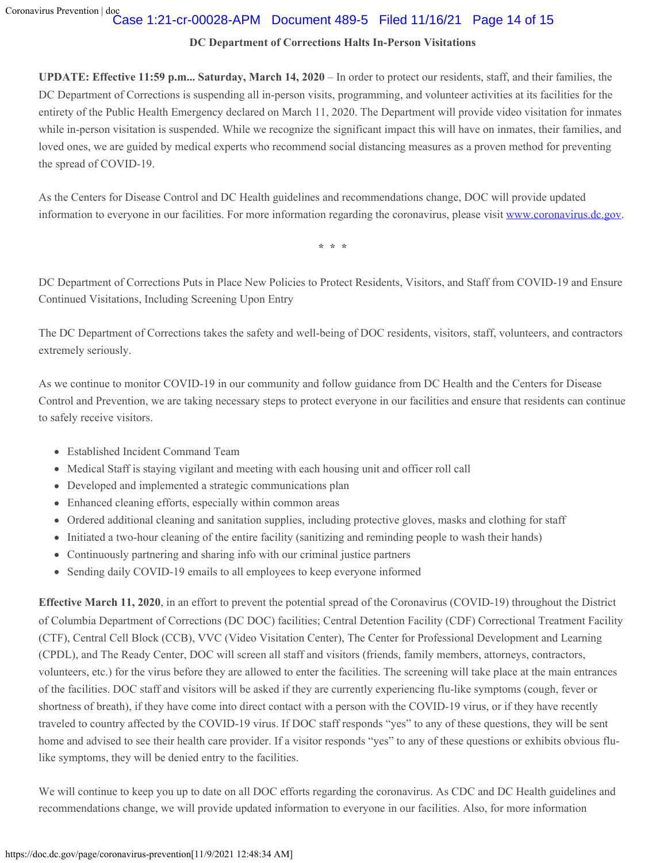## Case 1:21-cr-00028-APM Document 489-5 Filed 11/16/21 Page 14 of 15

## **DC Department of Corrections Halts In-Person Visitations**

**UPDATE: Effective 11:59 p.m... Saturday, March 14, 2020** – In order to protect our residents, staff, and their families, the DC Department of Corrections is suspending all in-person visits, programming, and volunteer activities at its facilities for the entirety of the Public Health Emergency declared on March 11, 2020. The Department will provide video visitation for inmates while in-person visitation is suspended. While we recognize the significant impact this will have on inmates, their families, and loved ones, we are guided by medical experts who recommend social distancing measures as a proven method for preventing the spread of COVID-19.

As the Centers for Disease Control and DC Health guidelines and recommendations change, DOC will provide updated information to everyone in our facilities. For more information regarding the coronavirus, please visit [www.coronavirus.dc.gov.](https://coronavirus.dc.gov/)

**\* \* \***

DC Department of Corrections Puts in Place New Policies to Protect Residents, Visitors, and Staff from COVID-19 and Ensure Continued Visitations, Including Screening Upon Entry

The DC Department of Corrections takes the safety and well-being of DOC residents, visitors, staff, volunteers, and contractors extremely seriously.

As we continue to monitor COVID-19 in our community and follow guidance from DC Health and the Centers for Disease Control and Prevention, we are taking necessary steps to protect everyone in our facilities and ensure that residents can continue to safely receive visitors.

- Established Incident Command Team
- Medical Staff is staying vigilant and meeting with each housing unit and officer roll call
- Developed and implemented a strategic communications plan
- Enhanced cleaning efforts, especially within common areas
- Ordered additional cleaning and sanitation supplies, including protective gloves, masks and clothing for staff
- Initiated a two-hour cleaning of the entire facility (sanitizing and reminding people to wash their hands)
- Continuously partnering and sharing info with our criminal justice partners
- Sending daily COVID-19 emails to all employees to keep everyone informed

**Effective March 11, 2020**, in an effort to prevent the potential spread of the Coronavirus (COVID-19) throughout the District of Columbia Department of Corrections (DC DOC) facilities; Central Detention Facility (CDF) Correctional Treatment Facility (CTF), Central Cell Block (CCB), VVC (Video Visitation Center), The Center for Professional Development and Learning (CPDL), and The Ready Center, DOC will screen all staff and visitors (friends, family members, attorneys, contractors, volunteers, etc.) for the virus before they are allowed to enter the facilities. The screening will take place at the main entrances of the facilities. DOC staff and visitors will be asked if they are currently experiencing flu-like symptoms (cough, fever or shortness of breath), if they have come into direct contact with a person with the COVID-19 virus, or if they have recently traveled to country affected by the COVID-19 virus. If DOC staff responds "yes" to any of these questions, they will be sent home and advised to see their health care provider. If a visitor responds "yes" to any of these questions or exhibits obvious flulike symptoms, they will be denied entry to the facilities.

We will continue to keep you up to date on all DOC efforts regarding the coronavirus. As CDC and DC Health guidelines and recommendations change, we will provide updated information to everyone in our facilities. Also, for more information